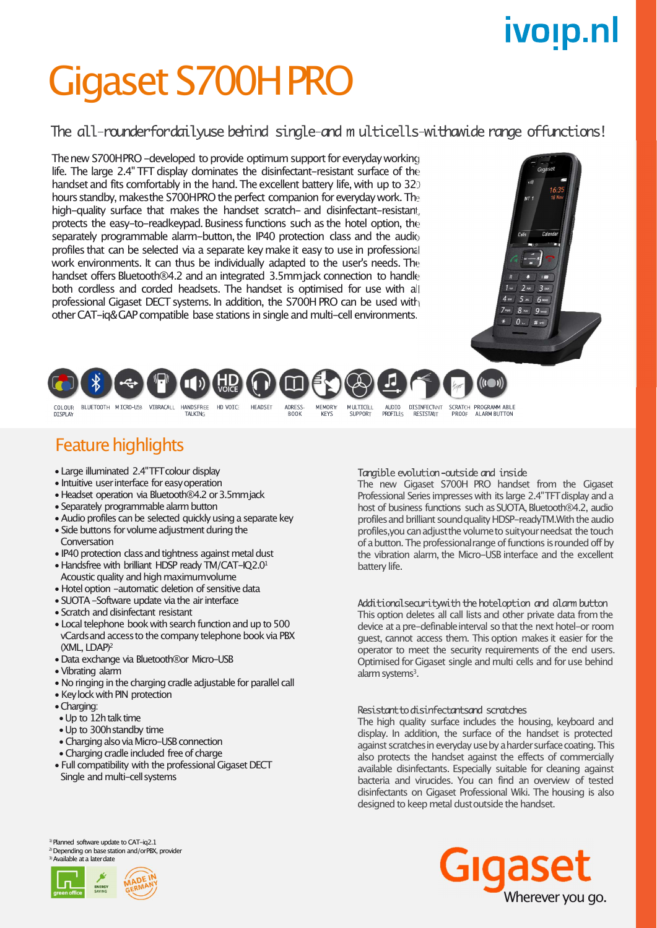## ivoip.nl

## Gigaset S700HPRO

### The all-rounderfordailyuse behind single-and m ulticells-withawide range offunctions!

The new S700HPRO -developed to provide optimum support for everyday working life. The large 2.4" TFT display dominates the disinfectant-resistant surface of the handset and fits comfortably in the hand. The excellent battery life, with up to 320 hours standby, makesthe S700HPRO the perfect companion for everyday work. The high-quality surface that makes the handset scratch- and disinfectant-resistant, protects the easy-to-readkeypad. Business functions such as the hotel option, the separately programmable alarm-button, the IP40 protection class and the audio profiles that can be selected via a separate key make it easy to use in professional work environments. It can thus be individually adapted to the user's needs. The handset offers Bluetooth®4.2 and an integrated 3.5mmjack connection to handle both cordless and corded headsets. The handset is optimised for use with all professional Gigaset DECT systems. In addition, the S700H PRO can be used with otherCAT-iq&GAP compatible base stationsin single andmulti-cell environments.





**ADRESS** 

**BOOK** 

**MEMORY** 

**KFYS** 

MULTTCB L

SUPPORT

ALIDTO

**PROFTLES** 

COLOUR<br>DTSPLAY

BLUETOOTH MICRO-USB VIBRACALL HANDSERFF HD VOTCH HEADSET TAI KTNC

### **Feature highlights**

- Large illuminated 2.4"TFT colour display
- Intuitive user interface for easy operation
- Headset operation via Bluetooth®4.2 or 3.5mmjack
- Separately programmable alarm button
- •Audio profiles can be selected quickly using a separate key
- Side buttons for volume adjustment during the **Conversation**
- IP40 protection class and tightness against metal dust
- Handsfree with brilliant HDSP ready TM/CAT-IO2.0<sup>1</sup> Acoustic quality and high maximumvolume
- Hotel option -automatic deletion of sensitive data
- SUOTA -Software update via the air interface
- Scratch and disinfectant resistant
- Local telephone book with search function and up to 500 vCardsand accessto the company telephone book via PBX (XML, LDAP)<sup>2</sup>
- •Data exchange via Bluetooth®or Micro-USB
- •Vibrating alarm
- No ringing in the charging cradle adjustable for parallel call
- Keylock with PIN protection
- •Charging:
- •Up to 12h talk time
- •Up to 300hstandby time
- •Charging also viaMicro-USB connection
- Charging cradle included free of charge
- Full compatibility with the professional Gigaset DECT Single and multi-cell systems

Tangible evolution-outside and inside

DISINFECTANT SCRATCH PROGRAMM ARLE

**PROOF** 

The new Gigaset S700H PRO handset from the Gigaset Professional Series impresses with its large 2.4"TFT display and a host of business functions such as SUOTA, Bluetooth®4.2, audio profilesand brilliant soundquality HDSP-readyTM.With the audio profiles, you can adjust the volume to suityour needsat the touch of a button. The professional range of functions is rounded off by the vibration alarm, the Micro-USB interface and the excellent battery life.

**ALARM BUTTOM** 

Additionalsecurity with the hoteloption and alarm button This option deletes all call lists and other private data from the device at a pre-definableinterval so that the next hotel-or room guest, cannot access them. This option makesit easier for the operator to meet the security requirements of the end users. Optimised for Gigaset single and multi cells and for use behind alarm systems<sup>3</sup>.

#### Resistant to disinfectantsand scratches

The high quality surface includes the housing, keyboard and display. In addition, the surface of the handset is protected against scratches in everyday use by a harder surface coating. This also protects the handset against the effects of commercially available disinfectants. Especially suitable for cleaning against bacteria and virucides. You can find an overview of tested disinfectants on Gigaset Professional Wiki. The housing is also designed to keep metal dust outside the handset.







**RESTSTANT**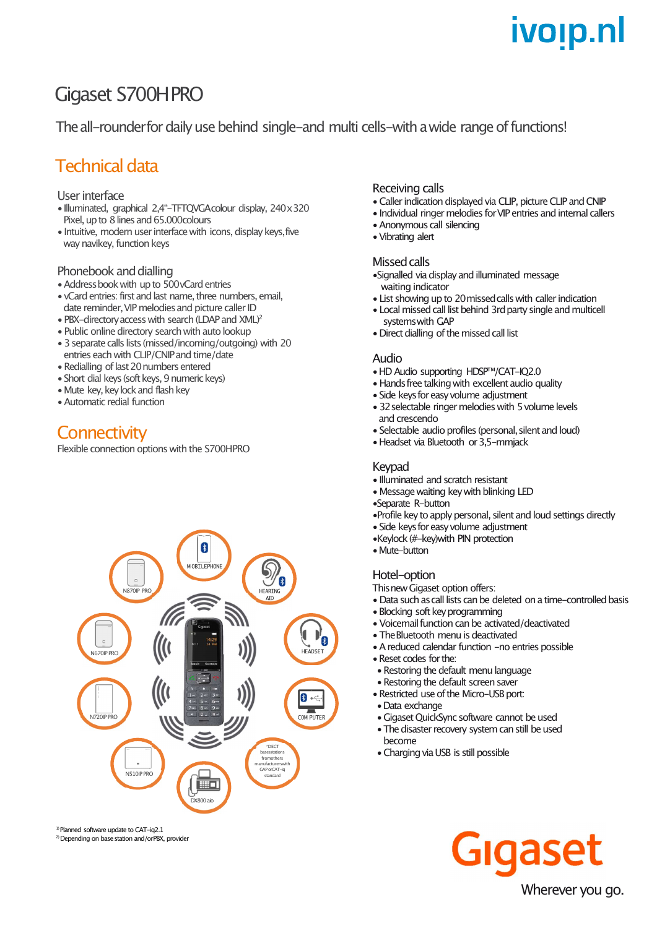## ivoip.nl

## Gigaset S700HPRO

The all-rounderfor daily use behind single-and multi cells-with a wide range of functions!

### Technical data

#### Userinterface

- •Illuminated, graphical 2,4"-TFTQVGAcolour display, 240x320 Pixel, up to 8 lines and 65.000colours
- •Intuitive, modern userinterface with icons, display keys,five way navikey, function keys

#### Phonebook and dialling

- •Addressbookwith up to 500vCard entries
- vCard entries: first and last name, three numbers, email, date reminder, VIP melodies and picture caller ID
- PBX-directory access with search (LDAP and XML)<sup>2</sup>
- $\bullet$  Public online directory search with auto lookup
- 3 separate calls lists (missed/incoming/outgoing) with 20 entries each with CLIP/CNIPand time/date
- Redialling of last 20 numbers entered
- Short dial keys (soft keys, 9 numeric keys)
- Mute key, key lock and flash key
- •Automatic redial function

### **Connectivity**

Flexible connection options with the S700HPRO



<sup>1)</sup> Planned software undate to CAT-ig2.1

<sup>2)</sup> Depending on base station and/orPBX, provider

#### Receiving calls

- Caller indication displayed via CLIP, picture CLIP and CNIP
- Individual ringer melodies for VIP entries and internal callers
- •Anonymous call silencing
- •Vibrating alert

#### Missed calls

- Signalled via display and illuminated message waiting indicator
- List showing up to 20 missed calls with caller indication
- Local missed call list behind 3rd party single and multicell systemswith GAP
- Direct dialling of the missed call list

#### Audio

- •HD Audio supporting HDSP™/CAT-IQ2.0
- Hands free talking with excellent audio quality
- Side keys for easy volume adjustment
- 32 selectable ringer melodies with 5 volume levels and crescendo
- Selectable audio profiles (personal, silent and loud)
- Headset via Bluetooth or 3.5-mmjack

#### Keypad

- •Illuminated and scratch resistant
- •Message waiting key with blinking LED
- •Separate R-button
- Profile key to apply personal, silent and loud settings directly
- Side keys for easy volume adjustment
- •Keylock (#-key)with PIN protection
- Mute-button

#### Hotel-option

Thisnew Gigaset option offers:

- Data such as call lists can be deleted on a time-controlled basis
- Blocking soft key programming
- Voicemailfunction can be activated/deactivated
- The Bluetooth menu is deactivated
- $\bullet$  A reduced calendar function  $-$ no entries possible
- •Reset codes for the:
- Restoring the default menu language
- Restoring the default screen saver
- Restricted use of the Micro-USB port:
- •Data exchange
- GigasetQuickSync software cannot be used
- The disaster recovery system can still be used
- become
- Charging via USB is still possible

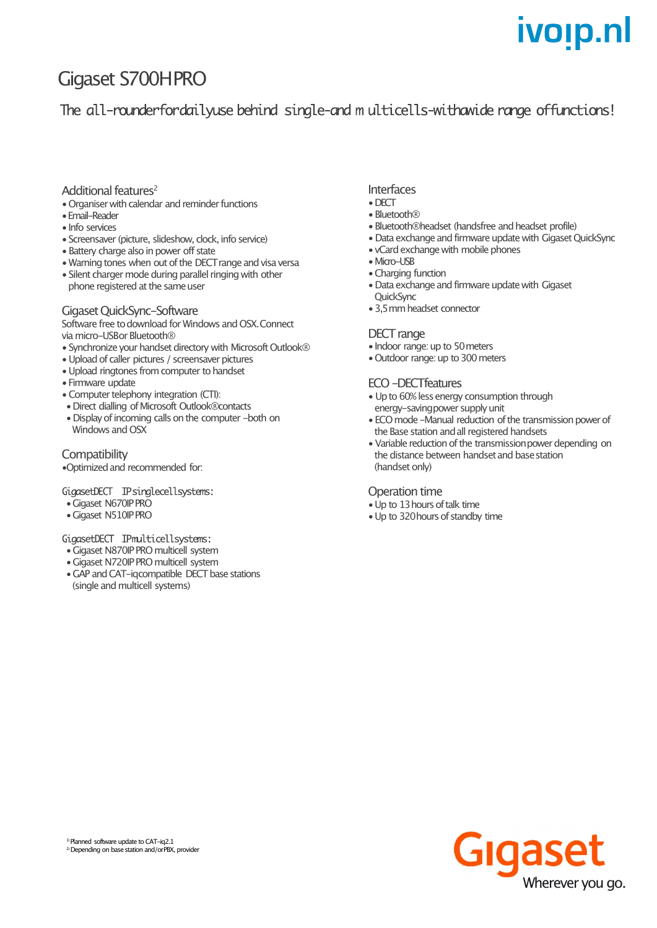## ivo<sub>!</sub>p.nl

## Gigaset S700HPRO

The all-rounderfordailyuse behind single-and multicells-withawide range offunctions!

#### Additional features<sup>2</sup>

- •Organiser with calendar and reminder functions
- •Email-Reader
- •Info services
- Screensaver (picture, slideshow, clock, info service)
- Battery charge also in power off state
- •Warning tones when out of the DECTrange and visa versa
- Silent charger mode during parallel ringing with other phone registered at the same user

#### Gigaset OuickSync-Software

Software free to download for Windows and OSX. Connect via micro-USBor Bluetooth®

- Synchronize your handset directory with Microsoft Outlook®
- •Upload of caller pictures / screensaver pictures
- •Upload ringtones from computer to handset
- Firmware update
- •Computer telephony integration (CTI):
- Direct dialling of Microsoft Outlook®contacts
- Display of incoming calls on the computer -both on Windows and OSX

#### **Compatibility**

•Optimized and recommended for:

#### GigasetDECT IPsinglecellsystems:

- Gigaset N670IP PRO
- Gigaset N510IP PRO

#### GigasetDECT IPmulticellsystems:

- •Gigaset N870IP PROmulticell system
- •Gigaset N720IP PROmulticell system
- GAP and CAT-igcompatible DECT base stations (single and multicell systems)

#### Interfaces

- •DECT
- Bluetooth®
- Bluetooth®headset (handsfree and headset profile)
- Data exchange and firmware update with Gigaset QuickSync
- vCard exchange with mobile phones
- Micro-USB
- Charging function
- Data exchange and firmware update with Gigaset **OuickSync**
- •3,5mmheadset connector

#### DECT range

- Indoor range: up to 50 meters
- Outdoor range: up to 300 meters

#### ECO-DECTfeatures

- Up to 60% less energy consumption through energy-savingpower supply unit
- ECO mode -Manual reduction of the transmission power of the Base station and all registered handsets
- Variable reduction of the transmissionpower depending on the distance between handset and base station (handset only)

#### Operation time

- Up to 13 hours of talk time
- Up to 320 hours of standby time